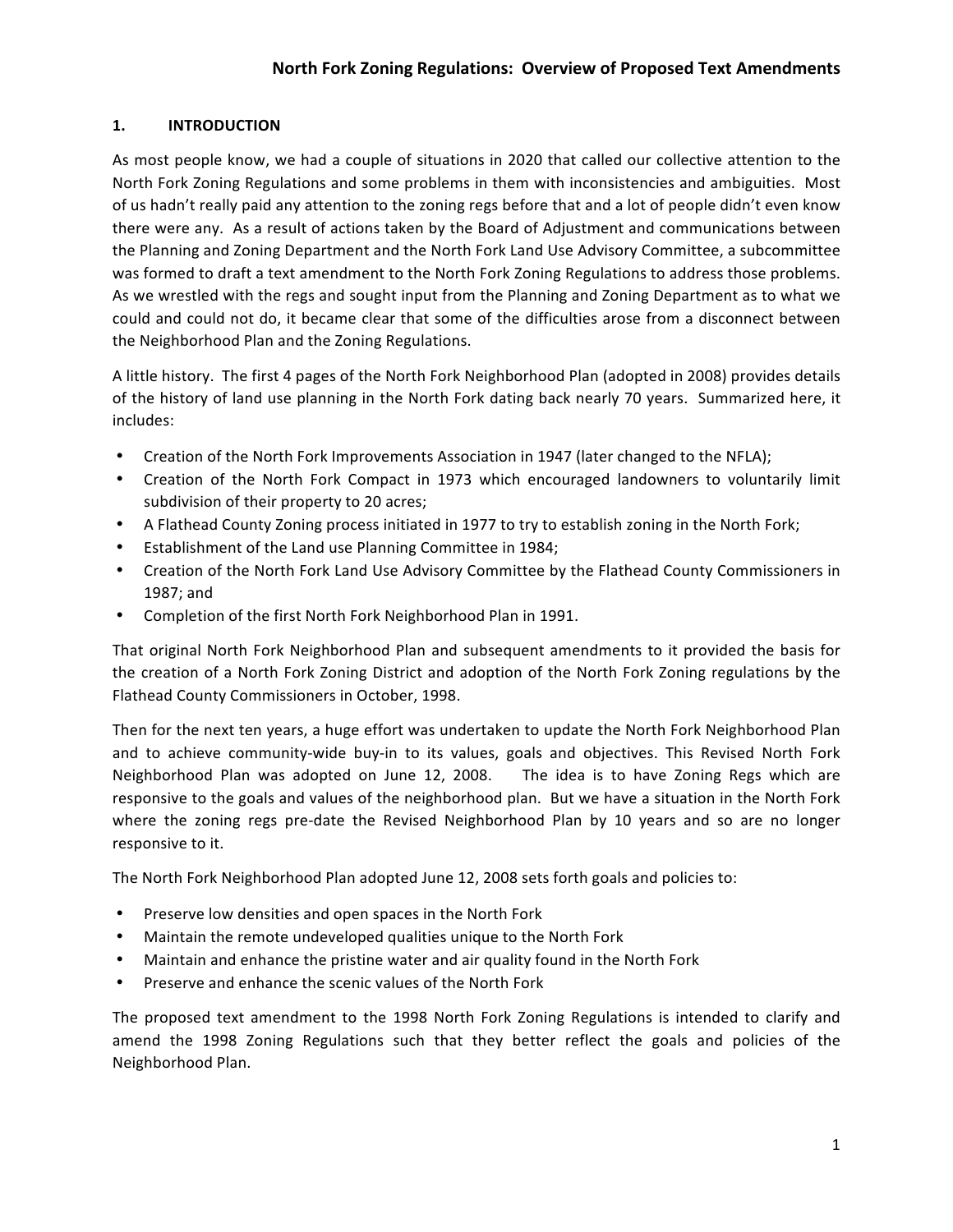## **1. INTRODUCTION**

As most people know, we had a couple of situations in 2020 that called our collective attention to the North Fork Zoning Regulations and some problems in them with inconsistencies and ambiguities. Most of us hadn't really paid any attention to the zoning regs before that and a lot of people didn't even know there were any. As a result of actions taken by the Board of Adjustment and communications between the Planning and Zoning Department and the North Fork Land Use Advisory Committee, a subcommittee was formed to draft a text amendment to the North Fork Zoning Regulations to address those problems. As we wrestled with the regs and sought input from the Planning and Zoning Department as to what we could and could not do, it became clear that some of the difficulties arose from a disconnect between the Neighborhood Plan and the Zoning Regulations.

A little history. The first 4 pages of the North Fork Neighborhood Plan (adopted in 2008) provides details of the history of land use planning in the North Fork dating back nearly 70 years. Summarized here, it includes:

- Creation of the North Fork Improvements Association in 1947 (later changed to the NFLA);
- Creation of the North Fork Compact in 1973 which encouraged landowners to voluntarily limit subdivision of their property to 20 acres;
- A Flathead County Zoning process initiated in 1977 to try to establish zoning in the North Fork;
- Establishment of the Land use Planning Committee in 1984;
- Creation of the North Fork Land Use Advisory Committee by the Flathead County Commissioners in 1987; and
- Completion of the first North Fork Neighborhood Plan in 1991.

That original North Fork Neighborhood Plan and subsequent amendments to it provided the basis for the creation of a North Fork Zoning District and adoption of the North Fork Zoning regulations by the Flathead County Commissioners in October, 1998.

Then for the next ten years, a huge effort was undertaken to update the North Fork Neighborhood Plan and to achieve community-wide buy-in to its values, goals and objectives. This Revised North Fork Neighborhood Plan was adopted on June 12, 2008. The idea is to have Zoning Regs which are responsive to the goals and values of the neighborhood plan. But we have a situation in the North Fork where the zoning regs pre-date the Revised Neighborhood Plan by 10 years and so are no longer responsive to it.

The North Fork Neighborhood Plan adopted June 12, 2008 sets forth goals and policies to:

- Preserve low densities and open spaces in the North Fork
- Maintain the remote undeveloped qualities unique to the North Fork
- Maintain and enhance the pristine water and air quality found in the North Fork
- Preserve and enhance the scenic values of the North Fork

The proposed text amendment to the 1998 North Fork Zoning Regulations is intended to clarify and amend the 1998 Zoning Regulations such that they better reflect the goals and policies of the Neighborhood Plan.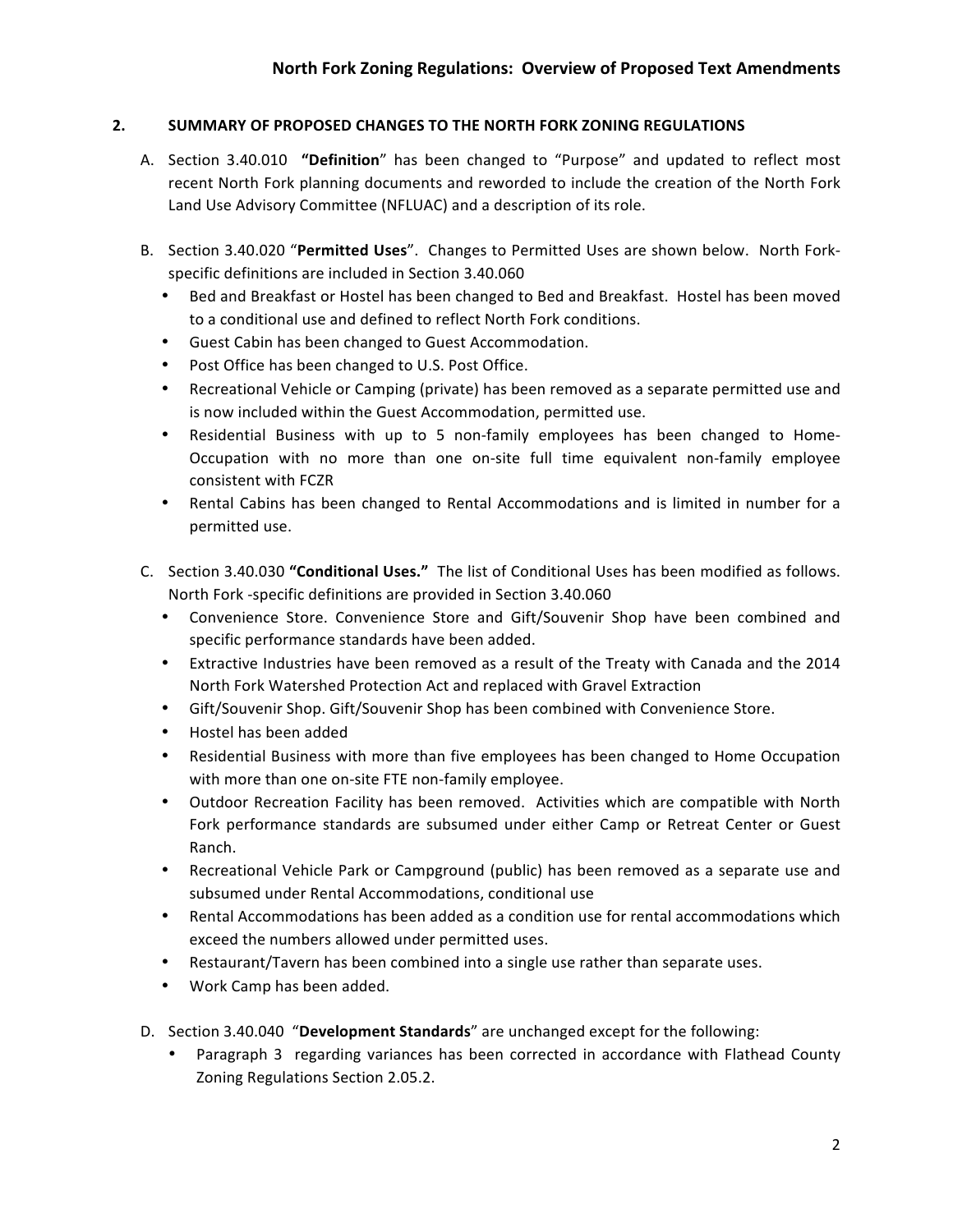## **2. SUMMARY OF PROPOSED CHANGES TO THE NORTH FORK ZONING REGULATIONS**

- A. Section 3.40.010 "Definition" has been changed to "Purpose" and updated to reflect most recent North Fork planning documents and reworded to include the creation of the North Fork Land Use Advisory Committee (NFLUAC) and a description of its role.
- B. Section 3.40.020 "Permitted Uses". Changes to Permitted Uses are shown below. North Forkspecific definitions are included in Section 3.40.060
	- Bed and Breakfast or Hostel has been changed to Bed and Breakfast. Hostel has been moved to a conditional use and defined to reflect North Fork conditions.
	- Guest Cabin has been changed to Guest Accommodation.
	- Post Office has been changed to U.S. Post Office.
	- Recreational Vehicle or Camping (private) has been removed as a separate permitted use and is now included within the Guest Accommodation, permitted use.
	- Residential Business with up to 5 non-family employees has been changed to Home-Occupation with no more than one on-site full time equivalent non-family employee consistent with FCZR
	- Rental Cabins has been changed to Rental Accommodations and is limited in number for a permitted use.
- C. Section 3.40.030 "**Conditional Uses.**" The list of Conditional Uses has been modified as follows. North Fork -specific definitions are provided in Section 3.40.060
	- Convenience Store. Convenience Store and Gift/Souvenir Shop have been combined and specific performance standards have been added.
	- Extractive Industries have been removed as a result of the Treaty with Canada and the 2014 North Fork Watershed Protection Act and replaced with Gravel Extraction
	- Gift/Souvenir Shop. Gift/Souvenir Shop has been combined with Convenience Store.
	- Hostel has been added
	- Residential Business with more than five employees has been changed to Home Occupation with more than one on-site FTE non-family employee.
	- Outdoor Recreation Facility has been removed. Activities which are compatible with North Fork performance standards are subsumed under either Camp or Retreat Center or Guest Ranch.
	- Recreational Vehicle Park or Campground (public) has been removed as a separate use and subsumed under Rental Accommodations, conditional use
	- Rental Accommodations has been added as a condition use for rental accommodations which exceed the numbers allowed under permitted uses.
	- Restaurant/Tavern has been combined into a single use rather than separate uses.
	- Work Camp has been added.
- D. Section 3.40.040 "Development Standards" are unchanged except for the following:
	- Paragraph 3 regarding variances has been corrected in accordance with Flathead County Zoning Regulations Section 2.05.2.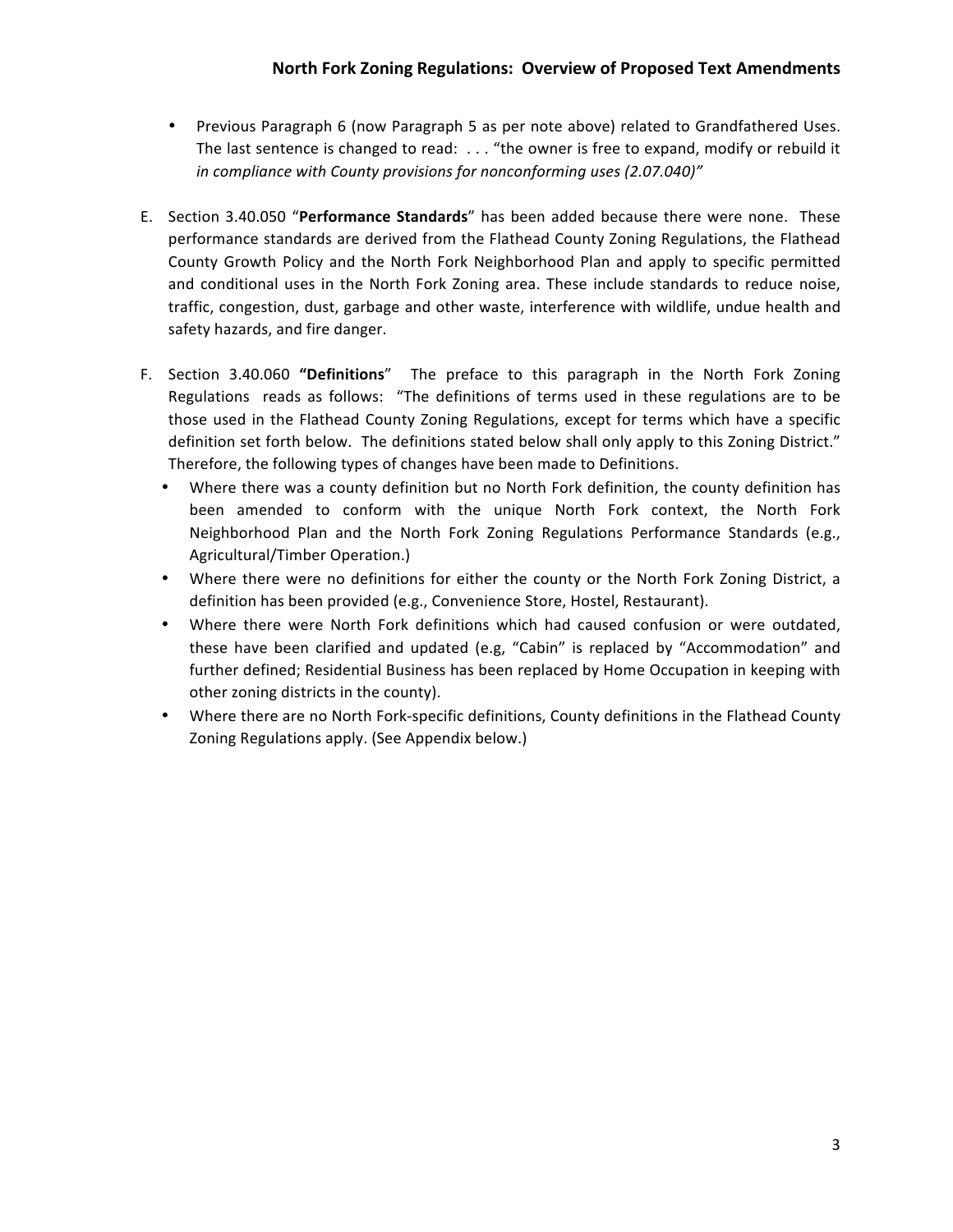- Previous Paragraph 6 (now Paragraph 5 as per note above) related to Grandfathered Uses. The last sentence is changed to read:  $\dots$  "the owner is free to expand, modify or rebuild it *in compliance with County provisions for nonconforming uses (2.07.040)"*
- E. Section 3.40.050 "Performance Standards" has been added because there were none. These performance standards are derived from the Flathead County Zoning Regulations, the Flathead County Growth Policy and the North Fork Neighborhood Plan and apply to specific permitted and conditional uses in the North Fork Zoning area. These include standards to reduce noise, traffic, congestion, dust, garbage and other waste, interference with wildlife, undue health and safety hazards, and fire danger.
- F. Section 3.40.060 "Definitions" The preface to this paragraph in the North Fork Zoning Regulations reads as follows: "The definitions of terms used in these regulations are to be those used in the Flathead County Zoning Regulations, except for terms which have a specific definition set forth below. The definitions stated below shall only apply to this Zoning District." Therefore, the following types of changes have been made to Definitions.
	- Where there was a county definition but no North Fork definition, the county definition has been amended to conform with the unique North Fork context, the North Fork Neighborhood Plan and the North Fork Zoning Regulations Performance Standards (e.g., Agricultural/Timber Operation.)
	- Where there were no definitions for either the county or the North Fork Zoning District, a definition has been provided (e.g., Convenience Store, Hostel, Restaurant).
	- Where there were North Fork definitions which had caused confusion or were outdated, these have been clarified and updated (e.g, "Cabin" is replaced by "Accommodation" and further defined; Residential Business has been replaced by Home Occupation in keeping with other zoning districts in the county).
	- Where there are no North Fork-specific definitions, County definitions in the Flathead County Zoning Regulations apply. (See Appendix below.)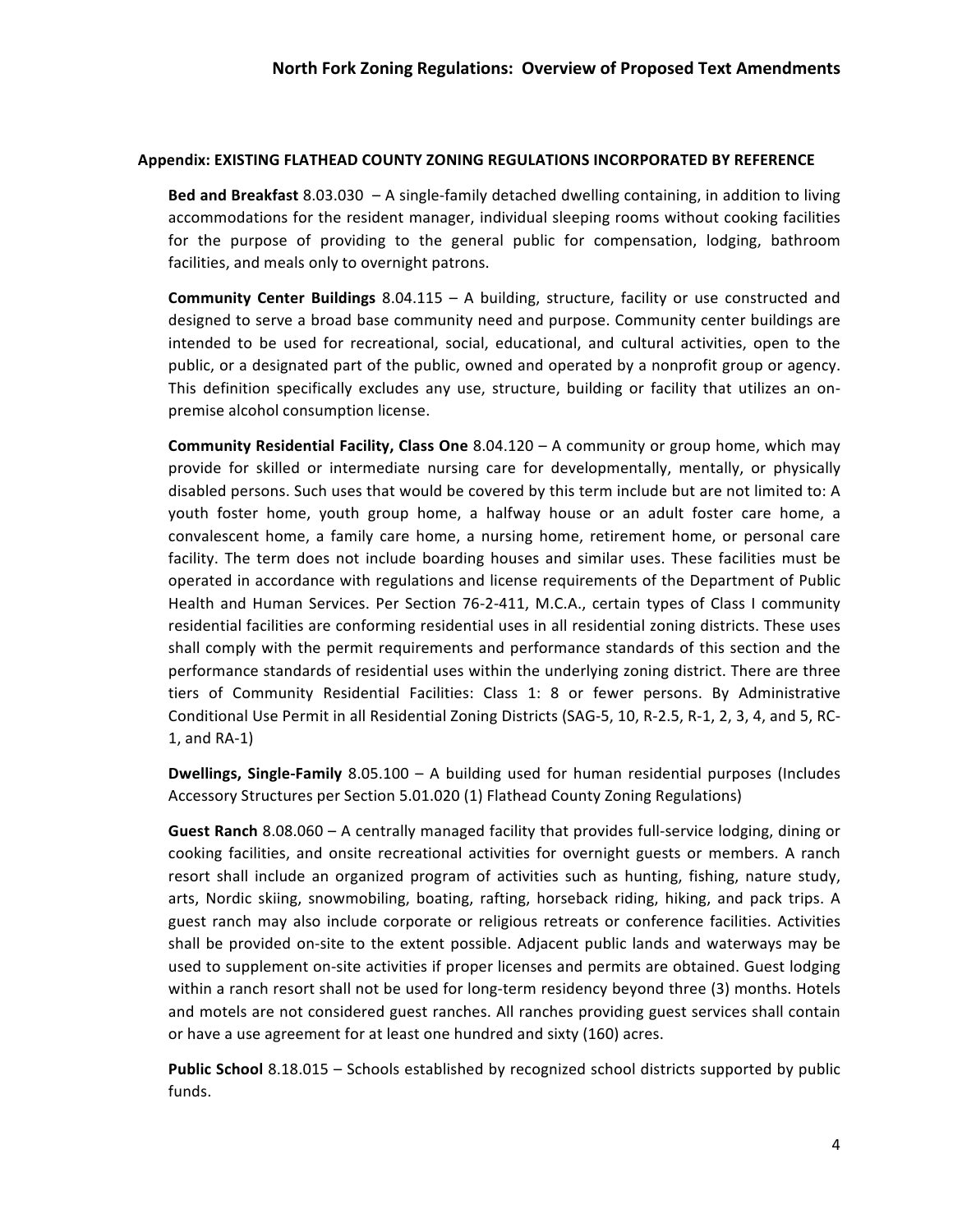## **Appendix: EXISTING FLATHEAD COUNTY ZONING REGULATIONS INCORPORATED BY REFERENCE**

**Bed and Breakfast** 8.03.030 - A single-family detached dwelling containing, in addition to living accommodations for the resident manager, individual sleeping rooms without cooking facilities for the purpose of providing to the general public for compensation, lodging, bathroom facilities, and meals only to overnight patrons.

**Community Center Buildings** 8.04.115 – A building, structure, facility or use constructed and designed to serve a broad base community need and purpose. Community center buildings are intended to be used for recreational, social, educational, and cultural activities, open to the public, or a designated part of the public, owned and operated by a nonprofit group or agency. This definition specifically excludes any use, structure, building or facility that utilizes an onpremise alcohol consumption license.

**Community Residential Facility, Class One** 8.04.120 – A community or group home, which may provide for skilled or intermediate nursing care for developmentally, mentally, or physically disabled persons. Such uses that would be covered by this term include but are not limited to: A youth foster home, youth group home, a halfway house or an adult foster care home, a convalescent home, a family care home, a nursing home, retirement home, or personal care facility. The term does not include boarding houses and similar uses. These facilities must be operated in accordance with regulations and license requirements of the Department of Public Health and Human Services. Per Section 76-2-411, M.C.A., certain types of Class I community residential facilities are conforming residential uses in all residential zoning districts. These uses shall comply with the permit requirements and performance standards of this section and the performance standards of residential uses within the underlying zoning district. There are three tiers of Community Residential Facilities: Class 1: 8 or fewer persons. By Administrative Conditional Use Permit in all Residential Zoning Districts (SAG-5, 10, R-2.5, R-1, 2, 3, 4, and 5, RC- $1$ , and RA-1)

**Dwellings, Single-Family** 8.05.100 – A building used for human residential purposes (Includes Accessory Structures per Section 5.01.020 (1) Flathead County Zoning Regulations)

**Guest Ranch** 8.08.060 – A centrally managed facility that provides full-service lodging, dining or cooking facilities, and onsite recreational activities for overnight guests or members. A ranch resort shall include an organized program of activities such as hunting, fishing, nature study, arts, Nordic skiing, snowmobiling, boating, rafting, horseback riding, hiking, and pack trips. A guest ranch may also include corporate or religious retreats or conference facilities. Activities shall be provided on-site to the extent possible. Adjacent public lands and waterways may be used to supplement on-site activities if proper licenses and permits are obtained. Guest lodging within a ranch resort shall not be used for long-term residency beyond three (3) months. Hotels and motels are not considered guest ranches. All ranches providing guest services shall contain or have a use agreement for at least one hundred and sixty (160) acres.

**Public School** 8.18.015 - Schools established by recognized school districts supported by public funds.